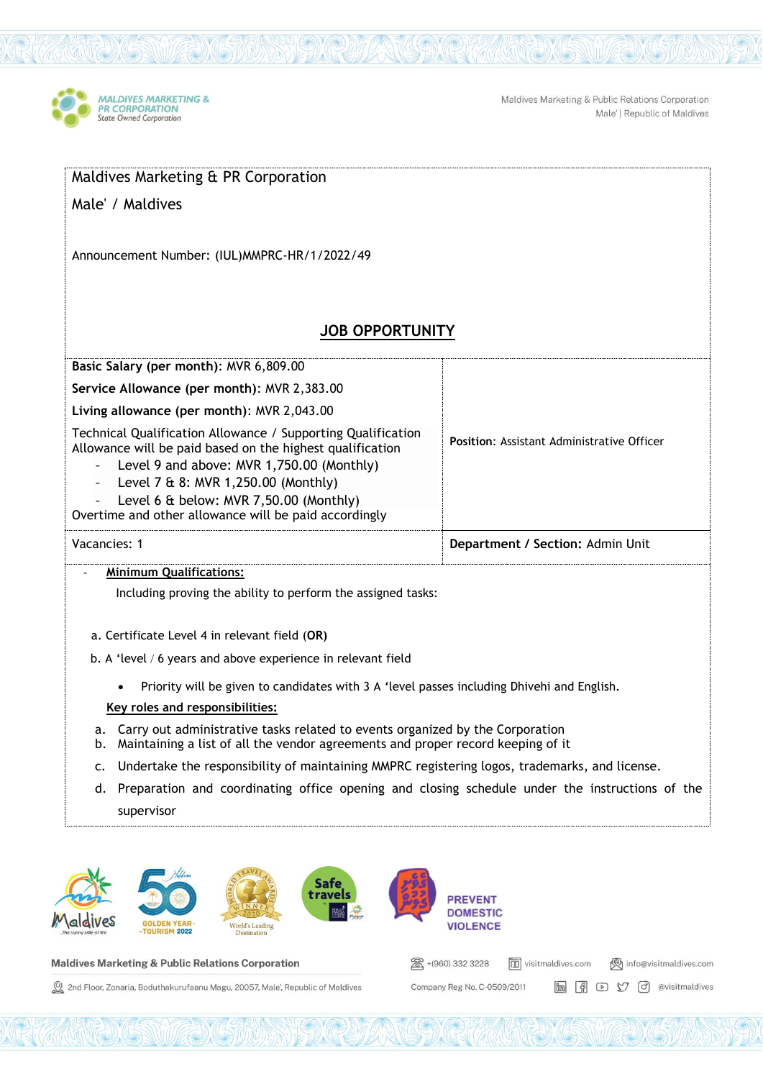

Maldives Marketing & Public Relations Corporation Male' | Republic of Maldives

**im** 图 9 9 d @visitmaldives

Company Reg No. C-0509/2011

| Maldives Marketing & PR Corporation                                                                                                                                                                                                                                                                                                              |                                                                              |
|--------------------------------------------------------------------------------------------------------------------------------------------------------------------------------------------------------------------------------------------------------------------------------------------------------------------------------------------------|------------------------------------------------------------------------------|
| Male' / Maldives                                                                                                                                                                                                                                                                                                                                 |                                                                              |
| Announcement Number: (IUL)MMPRC-HR/1/2022/49                                                                                                                                                                                                                                                                                                     |                                                                              |
| <b>JOB OPPORTUNITY</b>                                                                                                                                                                                                                                                                                                                           |                                                                              |
| Basic Salary (per month): MVR 6,809.00                                                                                                                                                                                                                                                                                                           |                                                                              |
| Service Allowance (per month): MVR 2,383.00                                                                                                                                                                                                                                                                                                      |                                                                              |
| Living allowance (per month): MVR 2,043.00                                                                                                                                                                                                                                                                                                       |                                                                              |
| Technical Qualification Allowance / Supporting Qualification<br>Allowance will be paid based on the highest qualification<br>Level 9 and above: MVR 1,750.00 (Monthly)<br>Level 7 & 8: MVR 1,250.00 (Monthly)<br>$\blacksquare$<br>Level 6 & below: MVR 7,50.00 (Monthly)<br>Overtime and other allowance will be paid accordingly               | <b>Position: Assistant Administrative Officer</b>                            |
| Vacancies: 1                                                                                                                                                                                                                                                                                                                                     | Department / Section: Admin Unit                                             |
| <b>Minimum Qualifications:</b><br>Including proving the ability to perform the assigned tasks:<br>a. Certificate Level 4 in relevant field (OR)<br>b. A 'level / 6 years and above experience in relevant field<br>Priority will be given to candidates with 3 A 'level passes including Dhivehi and English.<br>Key roles and responsibilities: |                                                                              |
| a. Carry out administrative tasks related to events organized by the Corporation<br>Maintaining a list of all the vendor agreements and proper record keeping of it<br>b.                                                                                                                                                                        |                                                                              |
| Undertake the responsibility of maintaining MMPRC registering logos, trademarks, and license.<br>c.                                                                                                                                                                                                                                              |                                                                              |
| Preparation and coordinating office opening and closing schedule under the instructions of the<br>d.<br>supervisor                                                                                                                                                                                                                               |                                                                              |
| Safe<br>travels<br><b>TOURISM 2022</b><br>Destination                                                                                                                                                                                                                                                                                            | <b>PREVENT</b><br><b>DOMESTIC</b><br><b>VIOLENCE</b>                         |
| <b>Maldives Marketing &amp; Public Relations Corporation</b>                                                                                                                                                                                                                                                                                     | 28 +(960) 332 3228<br><b>6</b> visitmaldives.com<br>《 info@visitmaldives.com |

**Maldives Marketing & Public Relations Corporation** 

2nd Floor, Zonaria, Boduthakurufaanu Magu, 20057, Male', Republic of Maldives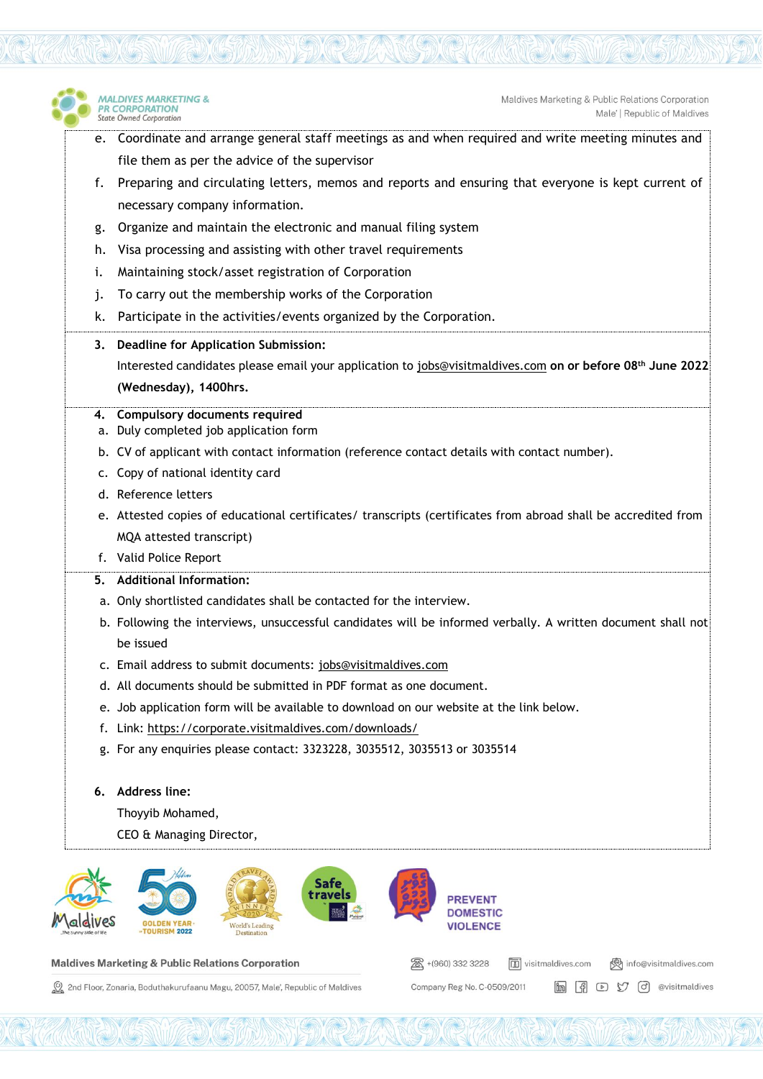

图 +(960) 332 3228

Company Reg No. C-0509/2011

visitmaldives.com

(ovisitmaldives.com

in F D V O @visitmaldives

## Maldives Marketing & Public Relations Corporation

2nd Floor, Zonaria, Boduthakurufaanu Magu, 20057, Male', Republic of Maldives